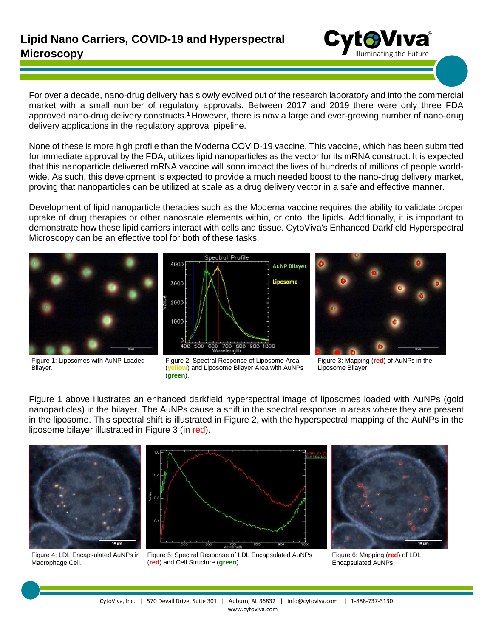For over a decade, nano-drug delivery has slowly evolved out of the research laboratory and into the commercial market with a small number of regulatory approvals. Between 2017 and 2019 there were only three FDA approved nano-drug delivery constructs.<sup>1</sup> However, there is now a large and ever-growing number of nano-drug delivery applications in the regulatory approval pipeline.

None of these is more high profile than the Moderna COVID-19 vaccine. This vaccine, which has been submitted for immediate approval by the FDA, utilizes lipid nanoparticles as the vector for its mRNA construct. It is expected that this nanoparticle delivered mRNA vaccine will soon impact the lives of hundreds of millions of people worldwide. As such, this development is expected to provide a much needed boost to the nano-drug delivery market, proving that nanoparticles can be utilized at scale as a drug delivery vector in a safe and effective manner.

Development of lipid nanoparticle therapies such as the Moderna vaccine requires the ability to validate proper uptake of drug therapies or other nanoscale elements within, or onto, the lipids. Additionally, it is important to demonstrate how these lipid carriers interact with cells and tissue. CytoViva's Enhanced Darkfield Hyperspectral Microscopy can be an effective tool for both of these tasks.



Spectral Profile 4000 **AuNP Bilayer** Liposome 3000 2000 1000 700 800 900 1000 500 600



Figure 1: Liposomes with AuNP Loaded Bilayer.



Figure 3: Mapping (**red**) of AuNPs in the Liposome Bilayer

Figure 1 above illustrates an enhanced darkfield hyperspectral image of liposomes loaded with AuNPs (gold nanoparticles) in the bilayer. The AuNPs cause a shift in the spectral response in areas where they are present in the liposome. This spectral shift is illustrated in Figure 2, with the hyperspectral mapping of the AuNPs in the liposome bilayer illustrated in Figure 3 (in red).



Figure 4: LDL Encapsulated AuNPs in Macrophage Cell.







Figure 6: Mapping (**red**) of LDL Encapsulated AuNPs.